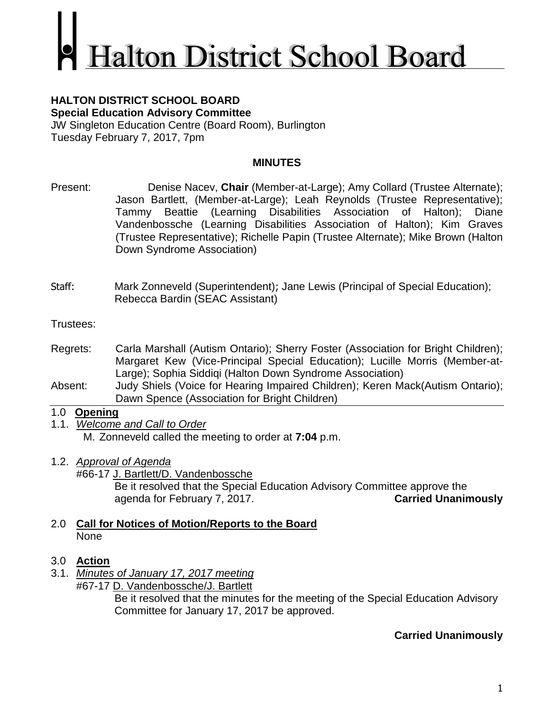# **Ialton District School Board**

#### **HALTON DISTRICT SCHOOL BOARD Special Education Advisory Committee**

JW Singleton Education Centre (Board Room), Burlington Tuesday February 7, 2017, 7pm

# **MINUTES**

- Present: Denise Nacev, **Chair** (Member-at-Large); Amy Collard (Trustee Alternate); Jason Bartlett, (Member-at-Large); Leah Reynolds (Trustee Representative); Tammy Beattie (Learning Disabilities Association of Halton); Diane Vandenbossche (Learning Disabilities Association of Halton); Kim Graves (Trustee Representative); Richelle Papin (Trustee Alternate); Mike Brown (Halton Down Syndrome Association)
- Staff: Mark Zonneveld (Superintendent); Jane Lewis (Principal of Special Education); Rebecca Bardin (SEAC Assistant)

Trustees:

- Regrets: Carla Marshall (Autism Ontario); Sherry Foster (Association for Bright Children); Margaret Kew (Vice-Principal Special Education); Lucille Morris (Member-at-Large); Sophia Siddiqi (Halton Down Syndrome Association)
- Absent: Judy Shiels (Voice for Hearing Impaired Children); Keren Mack(Autism Ontario); Dawn Spence (Association for Bright Children)

# 1.0 **Opening**

- 1.1. *Welcome and Call to Order* M. Zonneveld called the meeting to order at **7:04** p.m.
- 1.2. *Approval of Agenda*

#66-17 J. Bartlett/D. Vandenbossche Be it resolved that the Special Education Advisory Committee approve the agenda for February 7, 2017. **Carried Unanimously**

# 2.0 **Call for Notices of Motion/Reports to the Board** None

# 3.0 **Action**

3.1. *Minutes of January 17, 2017 meeting* #67-17 D. Vandenbossche/J. Bartlett

Be it resolved that the minutes for the meeting of the Special Education Advisory Committee for January 17, 2017 be approved.

# **Carried Unanimously**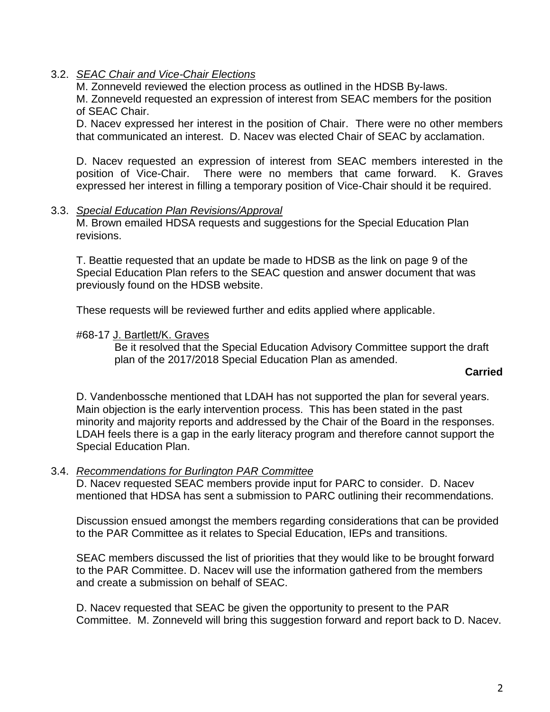## 3.2. *SEAC Chair and Vice-Chair Elections*

M. Zonneveld reviewed the election process as outlined in the HDSB By-laws.

M. Zonneveld requested an expression of interest from SEAC members for the position of SEAC Chair.

D. Nacev expressed her interest in the position of Chair. There were no other members that communicated an interest. D. Nacev was elected Chair of SEAC by acclamation.

D. Nacev requested an expression of interest from SEAC members interested in the position of Vice-Chair. There were no members that came forward. K. Graves expressed her interest in filling a temporary position of Vice-Chair should it be required.

#### 3.3. *Special Education Plan Revisions/Approval*

M. Brown emailed HDSA requests and suggestions for the Special Education Plan revisions.

T. Beattie requested that an update be made to HDSB as the link on page 9 of the Special Education Plan refers to the SEAC question and answer document that was previously found on the HDSB website.

These requests will be reviewed further and edits applied where applicable.

#### #68-17 J. Bartlett/K. Graves

Be it resolved that the Special Education Advisory Committee support the draft plan of the 2017/2018 Special Education Plan as amended.

#### **Carried**

D. Vandenbossche mentioned that LDAH has not supported the plan for several years. Main objection is the early intervention process. This has been stated in the past minority and majority reports and addressed by the Chair of the Board in the responses. LDAH feels there is a gap in the early literacy program and therefore cannot support the Special Education Plan.

#### 3.4. *Recommendations for Burlington PAR Committee*

D. Nacev requested SEAC members provide input for PARC to consider. D. Nacev mentioned that HDSA has sent a submission to PARC outlining their recommendations.

Discussion ensued amongst the members regarding considerations that can be provided to the PAR Committee as it relates to Special Education, IEPs and transitions.

SEAC members discussed the list of priorities that they would like to be brought forward to the PAR Committee. D. Nacev will use the information gathered from the members and create a submission on behalf of SEAC.

D. Nacev requested that SEAC be given the opportunity to present to the PAR Committee. M. Zonneveld will bring this suggestion forward and report back to D. Nacev.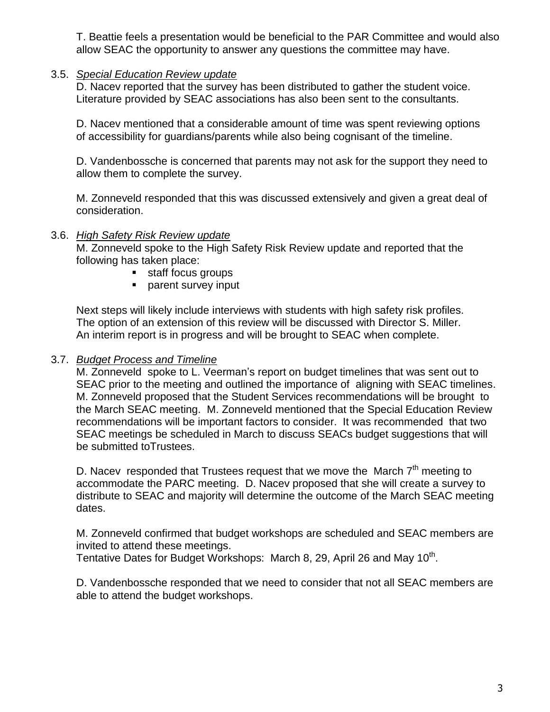T. Beattie feels a presentation would be beneficial to the PAR Committee and would also allow SEAC the opportunity to answer any questions the committee may have.

## 3.5. *Special Education Review update*

D. Nacev reported that the survey has been distributed to gather the student voice. Literature provided by SEAC associations has also been sent to the consultants.

D. Nacev mentioned that a considerable amount of time was spent reviewing options of accessibility for guardians/parents while also being cognisant of the timeline.

D. Vandenbossche is concerned that parents may not ask for the support they need to allow them to complete the survey.

M. Zonneveld responded that this was discussed extensively and given a great deal of consideration.

## 3.6. *High Safety Risk Review update*

M. Zonneveld spoke to the High Safety Risk Review update and reported that the following has taken place:

- staff focus groups
- **parent survey input**

Next steps will likely include interviews with students with high safety risk profiles. The option of an extension of this review will be discussed with Director S. Miller. An interim report is in progress and will be brought to SEAC when complete.

# 3.7. *Budget Process and Timeline*

M. Zonneveld spoke to L. Veerman's report on budget timelines that was sent out to SEAC prior to the meeting and outlined the importance of aligning with SEAC timelines. M. Zonneveld proposed that the Student Services recommendations will be brought to the March SEAC meeting. M. Zonneveld mentioned that the Special Education Review recommendations will be important factors to consider. It was recommended that two SEAC meetings be scheduled in March to discuss SEACs budget suggestions that will be submitted toTrustees.

D. Nacey responded that Trustees request that we move the March  $7<sup>th</sup>$  meeting to accommodate the PARC meeting. D. Nacev proposed that she will create a survey to distribute to SEAC and majority will determine the outcome of the March SEAC meeting dates.

M. Zonneveld confirmed that budget workshops are scheduled and SEAC members are invited to attend these meetings.

Tentative Dates for Budget Workshops: March 8, 29, April 26 and May 10<sup>th</sup>.

D. Vandenbossche responded that we need to consider that not all SEAC members are able to attend the budget workshops.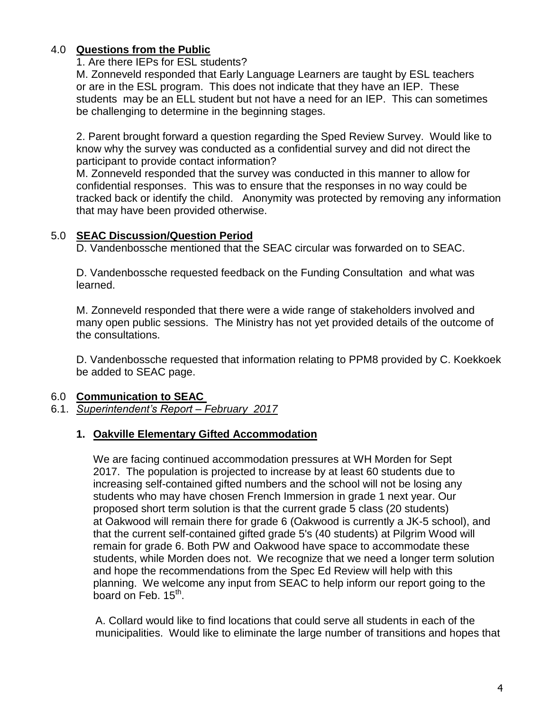# 4.0 **Questions from the Public**

1. Are there IEPs for ESL students?

M. Zonneveld responded that Early Language Learners are taught by ESL teachers or are in the ESL program. This does not indicate that they have an IEP. These students may be an ELL student but not have a need for an IEP. This can sometimes be challenging to determine in the beginning stages.

2. Parent brought forward a question regarding the Sped Review Survey. Would like to know why the survey was conducted as a confidential survey and did not direct the participant to provide contact information?

M. Zonneveld responded that the survey was conducted in this manner to allow for confidential responses. This was to ensure that the responses in no way could be tracked back or identify the child. Anonymity was protected by removing any information that may have been provided otherwise.

# 5.0 **SEAC Discussion/Question Period**

D. Vandenbossche mentioned that the SEAC circular was forwarded on to SEAC.

D. Vandenbossche requested feedback on the Funding Consultation and what was learned.

M. Zonneveld responded that there were a wide range of stakeholders involved and many open public sessions. The Ministry has not yet provided details of the outcome of the consultations.

D. Vandenbossche requested that information relating to PPM8 provided by C. Koekkoek be added to SEAC page.

# 6.0 **Communication to SEAC**

# 6.1. *Superintendent's Report – February 2017*

# **1. Oakville Elementary Gifted Accommodation**

We are facing continued accommodation pressures at WH Morden for Sept 2017. The population is projected to increase by at least 60 students due to increasing self-contained gifted numbers and the school will not be losing any students who may have chosen French Immersion in grade 1 next year. Our proposed short term solution is that the current grade 5 class (20 students) at Oakwood will remain there for grade 6 (Oakwood is currently a JK-5 school), and that the current self-contained gifted grade 5's (40 students) at Pilgrim Wood will remain for grade 6. Both PW and Oakwood have space to accommodate these students, while Morden does not. We recognize that we need a longer term solution and hope the recommendations from the Spec Ed Review will help with this planning. We welcome any input from SEAC to help inform our report going to the board on Feb. 15<sup>th</sup>.

A. Collard would like to find locations that could serve all students in each of the municipalities. Would like to eliminate the large number of transitions and hopes that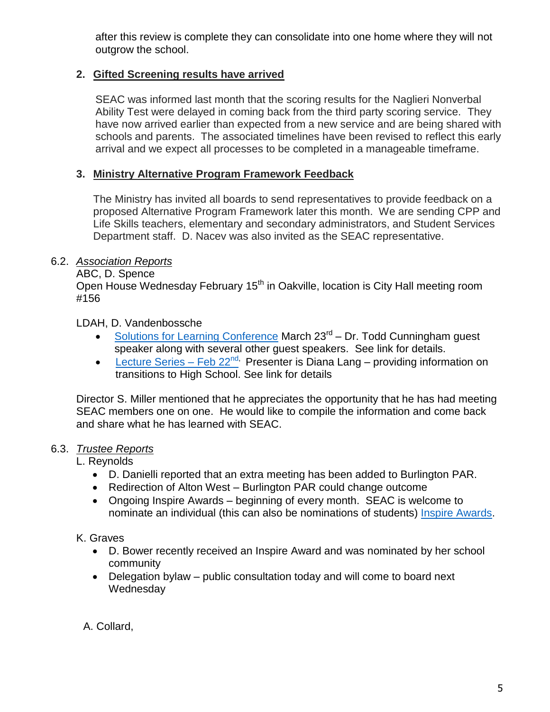after this review is complete they can consolidate into one home where they will not outgrow the school.

# **2. Gifted Screening results have arrived**

SEAC was informed last month that the scoring results for the Naglieri Nonverbal Ability Test were delayed in coming back from the third party scoring service. They have now arrived earlier than expected from a new service and are being shared with schools and parents. The associated timelines have been revised to reflect this early arrival and we expect all processes to be completed in a manageable timeframe.

# **3. Ministry Alternative Program Framework Feedback**

The Ministry has invited all boards to send representatives to provide feedback on a proposed Alternative Program Framework later this month. We are sending CPP and Life Skills teachers, elementary and secondary administrators, and Student Services Department staff. D. Nacev was also invited as the SEAC representative.

# 6.2. *Association Reports*

ABC, D. Spence

Open House Wednesday February 15<sup>th</sup> in Oakville, location is City Hall meeting room #156

LDAH, D. Vandenbossche

- [Solutions for Learning Conference](http://ldahalton.ca/annual-conference/) March 23<sup>rd</sup> Dr. Todd Cunningham guest speaker along with several other guest speakers. See link for details.
- [Lecture Series –](http://ldahalton.ca/solutions-learning-lecture-series/) Feb  $22^{nd}$ , Presenter is Diana Lang providing information on transitions to High School. See link for details

Director S. Miller mentioned that he appreciates the opportunity that he has had meeting SEAC members one on one. He would like to compile the information and come back and share what he has learned with SEAC.

# 6.3. *Trustee Reports*

L. Reynolds

- D. Danielli reported that an extra meeting has been added to Burlington PAR.
- Redirection of Alton West Burlington PAR could change outcome
- Ongoing Inspire Awards beginning of every month. SEAC is welcome to nominate an individual (this can also be nominations of students) [Inspire Awards.](https://www.hdsb.ca/our-board/Pages/Board%20of%20Trustees/Inspire-Awards.aspx)

# K. Graves

- D. Bower recently received an Inspire Award and was nominated by her school community
- Delegation bylaw public consultation today and will come to board next Wednesday

A. Collard,